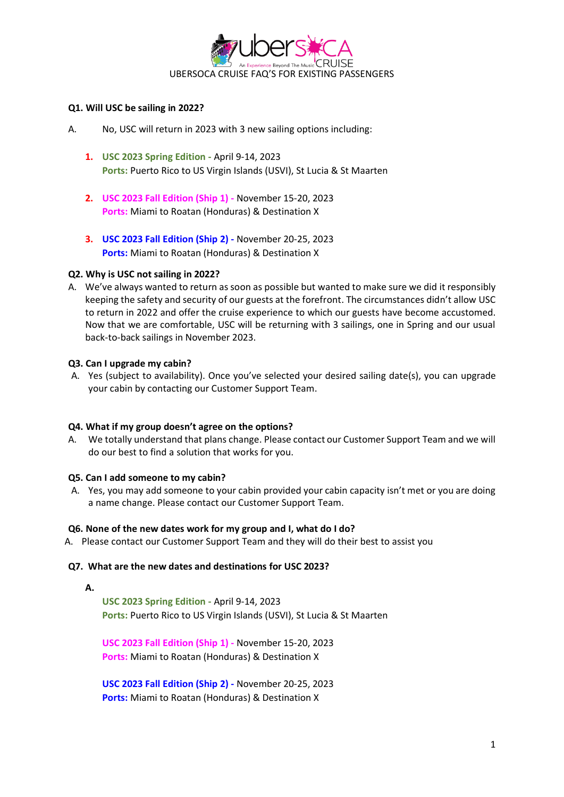

# **Q1. Will USC be sailing in 2022?**

- A. No, USC will return in 2023 with 3 new sailing options including:
	- **1. USC 2023 Spring Edition -** April 9-14, 2023 **Ports:** Puerto Rico to US Virgin Islands (USVI), St Lucia & St Maarten
	- **2. USC 2023 Fall Edition (Ship 1) -** November 15-20, 2023 **Ports:** Miami to Roatan (Honduras) & Destination X
	- **3. USC 2023 Fall Edition (Ship 2) -** November 20-25, 2023 **Ports:** Miami to Roatan (Honduras) & Destination X

# **Q2. Why is USC not sailing in 2022?**

A. We've always wanted to return as soon as possible but wanted to make sure we did it responsibly keeping the safety and security of our guests at the forefront. The circumstances didn't allow USC to return in 2022 and offer the cruise experience to which our guests have become accustomed. Now that we are comfortable, USC will be returning with 3 sailings, one in Spring and our usual back-to-back sailings in November 2023.

# **Q3. Can I upgrade my cabin?**

A. Yes (subject to availability). Once you've selected your desired sailing date(s), you can upgrade your cabin by contacting our Customer Support Team.

# **Q4. What if my group doesn't agree on the options?**

A. We totally understand that plans change. Please contact our Customer Support Team and we will do our best to find a solution that works for you.

# **Q5. Can I add someone to my cabin?**

A. Yes, you may add someone to your cabin provided your cabin capacity isn't met or you are doing a name change. Please contact our Customer Support Team.

# **Q6. None of the new dates work for my group and I, what do I do?**

A. Please contact our Customer Support Team and they will do their best to assist you

# **Q7. What are the new dates and destinations for USC 2023?**

**A.**

**USC 2023 Spring Edition -** April 9-14, 2023 **Ports:** Puerto Rico to US Virgin Islands (USVI), St Lucia & St Maarten

**USC 2023 Fall Edition (Ship 1) -** November 15-20, 2023 **Ports:** Miami to Roatan (Honduras) & Destination X

**USC 2023 Fall Edition (Ship 2) -** November 20-25, 2023 **Ports:** Miami to Roatan (Honduras) & Destination X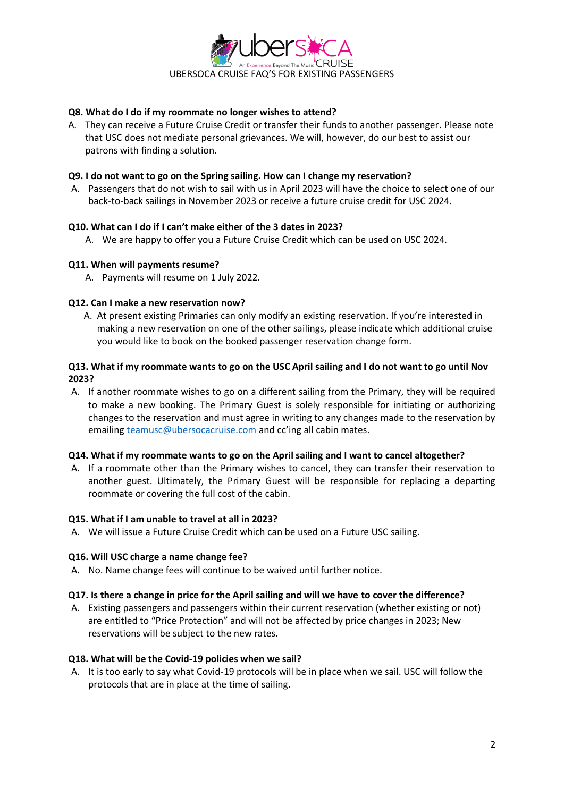

# **Q8. What do I do if my roommate no longer wishes to attend?**

A. They can receive a Future Cruise Credit or transfer their funds to another passenger. Please note that USC does not mediate personal grievances. We will, however, do our best to assist our patrons with finding a solution.

# **Q9. I do not want to go on the Spring sailing. How can I change my reservation?**

A. Passengers that do not wish to sail with us in April 2023 will have the choice to select one of our back-to-back sailings in November 2023 or receive a future cruise credit for USC 2024.

### **Q10. What can I do if I can't make either of the 3 dates in 2023?**

A. We are happy to offer you a Future Cruise Credit which can be used on USC 2024.

### **Q11. When will payments resume?**

A. Payments will resume on 1 July 2022.

### **Q12. Can I make a new reservation now?**

A. At present existing Primaries can only modify an existing reservation. If you're interested in making a new reservation on one of the other sailings, please indicate which additional cruise you would like to book on the booked passenger reservation change form.

# **Q13. What if my roommate wants to go on the USC April sailing and I do not want to go until Nov 2023?**

A. If another roommate wishes to go on a different sailing from the Primary, they will be required to make a new booking. The Primary Guest is solely responsible for initiating or authorizing changes to the reservation and must agree in writing to any changes made to the reservation by emailing [teamusc@ubersocacruise.com](mailto:teamusc@ubersocacruise.com) and cc'ing all cabin mates.

#### **Q14. What if my roommate wants to go on the April sailing and I want to cancel altogether?**

A. If a roommate other than the Primary wishes to cancel, they can transfer their reservation to another guest. Ultimately, the Primary Guest will be responsible for replacing a departing roommate or covering the full cost of the cabin.

#### **Q15. What if I am unable to travel at all in 2023?**

A. We will issue a Future Cruise Credit which can be used on a Future USC sailing.

#### **Q16. Will USC charge a name change fee?**

A. No. Name change fees will continue to be waived until further notice.

#### **Q17. Is there a change in price for the April sailing and will we have to cover the difference?**

A. Existing passengers and passengers within their current reservation (whether existing or not) are entitled to "Price Protection" and will not be affected by price changes in 2023; New reservations will be subject to the new rates.

#### **Q18. What will be the Covid-19 policies when we sail?**

A. It is too early to say what Covid-19 protocols will be in place when we sail. USC will follow the protocols that are in place at the time of sailing.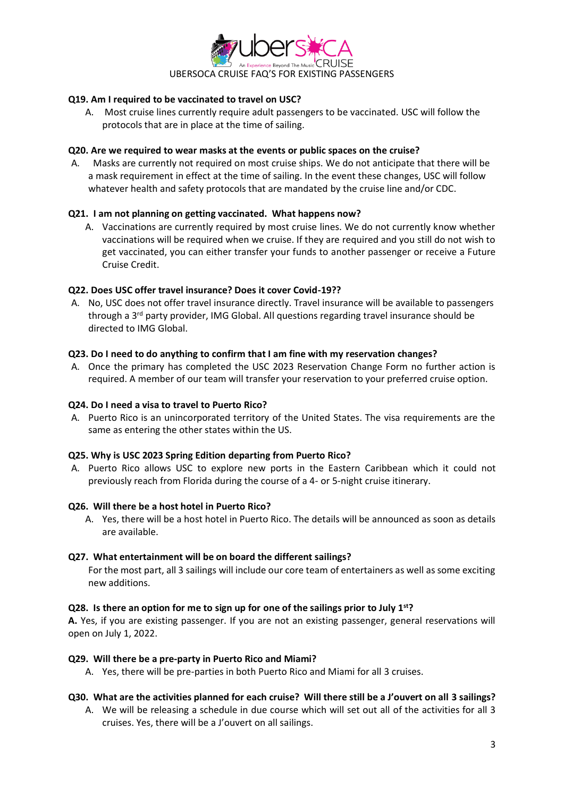

# **Q19. Am I required to be vaccinated to travel on USC?**

A. Most cruise lines currently require adult passengers to be vaccinated. USC will follow the protocols that are in place at the time of sailing.

### **Q20. Are we required to wear masks at the events or public spaces on the cruise?**

A. Masks are currently not required on most cruise ships. We do not anticipate that there will be a mask requirement in effect at the time of sailing. In the event these changes, USC will follow whatever health and safety protocols that are mandated by the cruise line and/or CDC.

# **Q21. I am not planning on getting vaccinated. What happens now?**

A. Vaccinations are currently required by most cruise lines. We do not currently know whether vaccinations will be required when we cruise. If they are required and you still do not wish to get vaccinated, you can either transfer your funds to another passenger or receive a Future Cruise Credit.

# **Q22. Does USC offer travel insurance? Does it cover Covid-19??**

A. No, USC does not offer travel insurance directly. Travel insurance will be available to passengers through a 3<sup>rd</sup> party provider, IMG Global. All questions regarding travel insurance should be directed to IMG Global.

# **Q23. Do I need to do anything to confirm that I am fine with my reservation changes?**

A. Once the primary has completed the USC 2023 Reservation Change Form no further action is required. A member of our team will transfer your reservation to your preferred cruise option.

# **Q24. Do I need a visa to travel to Puerto Rico?**

A. Puerto Rico is an unincorporated territory of the United States. The visa requirements are the same as entering the other states within the US.

# **Q25. Why is USC 2023 Spring Edition departing from Puerto Rico?**

A. Puerto Rico allows USC to explore new ports in the Eastern Caribbean which it could not previously reach from Florida during the course of a 4- or 5-night cruise itinerary.

# **Q26. Will there be a host hotel in Puerto Rico?**

A. Yes, there will be a host hotel in Puerto Rico. The details will be announced as soon as details are available.

# **Q27. What entertainment will be on board the different sailings?**

For the most part, all 3 sailings will include our core team of entertainers as well as some exciting new additions.

#### **Q28. Is there an option for me to sign up for one of the sailings prior to July 1st?**

**A.** Yes, if you are existing passenger. If you are not an existing passenger, general reservations will open on July 1, 2022.

#### **Q29. Will there be a pre-party in Puerto Rico and Miami?**

A. Yes, there will be pre-parties in both Puerto Rico and Miami for all 3 cruises.

# **Q30. What are the activities planned for each cruise? Will there still be a J'ouvert on all 3 sailings?**

A. We will be releasing a schedule in due course which will set out all of the activities for all 3 cruises. Yes, there will be a J'ouvert on all sailings.